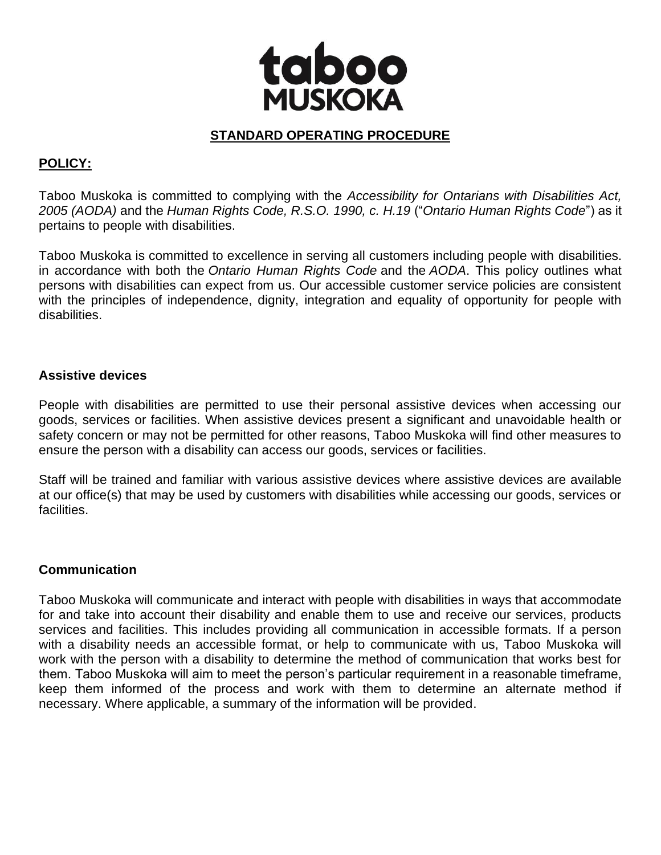

### **STANDARD OPERATING PROCEDURE**

# **POLICY:**

Taboo Muskoka is committed to complying with the *Accessibility for Ontarians with Disabilities Act, 2005 (AODA)* and the *Human Rights Code, R.S.O. 1990, c. H.19* ("*Ontario Human Rights Code*") as it pertains to people with disabilities.

Taboo Muskoka is committed to excellence in serving all customers including people with disabilities. in accordance with both the *Ontario Human Rights Code* and the *AODA*. This policy outlines what persons with disabilities can expect from us. Our accessible customer service policies are consistent with the principles of independence, dignity, integration and equality of opportunity for people with disabilities.

#### **Assistive devices**

People with disabilities are permitted to use their personal assistive devices when accessing our goods, services or facilities. When assistive devices present a significant and unavoidable health or safety concern or may not be permitted for other reasons, Taboo Muskoka will find other measures to ensure the person with a disability can access our goods, services or facilities.

Staff will be trained and familiar with various assistive devices where assistive devices are available at our office(s) that may be used by customers with disabilities while accessing our goods, services or facilities.

#### **Communication**

Taboo Muskoka will communicate and interact with people with disabilities in ways that accommodate for and take into account their disability and enable them to use and receive our services, products services and facilities. This includes providing all communication in accessible formats. If a person with a disability needs an accessible format, or help to communicate with us, Taboo Muskoka will work with the person with a disability to determine the method of communication that works best for them. Taboo Muskoka will aim to meet the person's particular requirement in a reasonable timeframe, keep them informed of the process and work with them to determine an alternate method if necessary. Where applicable, a summary of the information will be provided.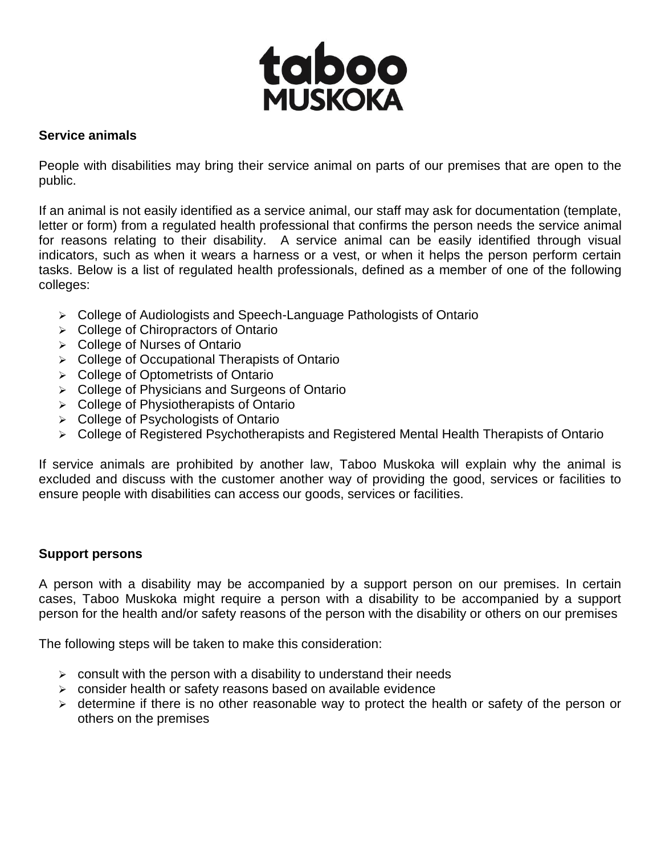

## **Service animals**

People with disabilities may bring their service animal on parts of our premises that are open to the public.

If an animal is not easily identified as a service animal, our staff may ask for documentation (template, letter or form) from a regulated health professional that confirms the person needs the service animal for reasons relating to their disability. A service animal can be easily identified through visual indicators, such as when it wears a harness or a vest, or when it helps the person perform certain tasks. Below is a list of regulated health professionals, defined as a member of one of the following colleges:

- ➢ College of Audiologists and Speech-Language Pathologists of Ontario
- ➢ College of Chiropractors of Ontario
- ➢ College of Nurses of Ontario
- ➢ College of Occupational Therapists of Ontario
- ➢ College of Optometrists of Ontario
- ➢ College of Physicians and Surgeons of Ontario
- ➢ College of Physiotherapists of Ontario
- ➢ College of Psychologists of Ontario
- ➢ College of Registered Psychotherapists and Registered Mental Health Therapists of Ontario

If service animals are prohibited by another law, Taboo Muskoka will explain why the animal is excluded and discuss with the customer another way of providing the good, services or facilities to ensure people with disabilities can access our goods, services or facilities.

#### **Support persons**

A person with a disability may be accompanied by a support person on our premises. In certain cases, Taboo Muskoka might require a person with a disability to be accompanied by a support person for the health and/or safety reasons of the person with the disability or others on our premises

The following steps will be taken to make this consideration:

- $\ge$  consult with the person with a disability to understand their needs
- ➢ consider health or safety reasons based on available evidence
- ➢ determine if there is no other reasonable way to protect the health or safety of the person or others on the premises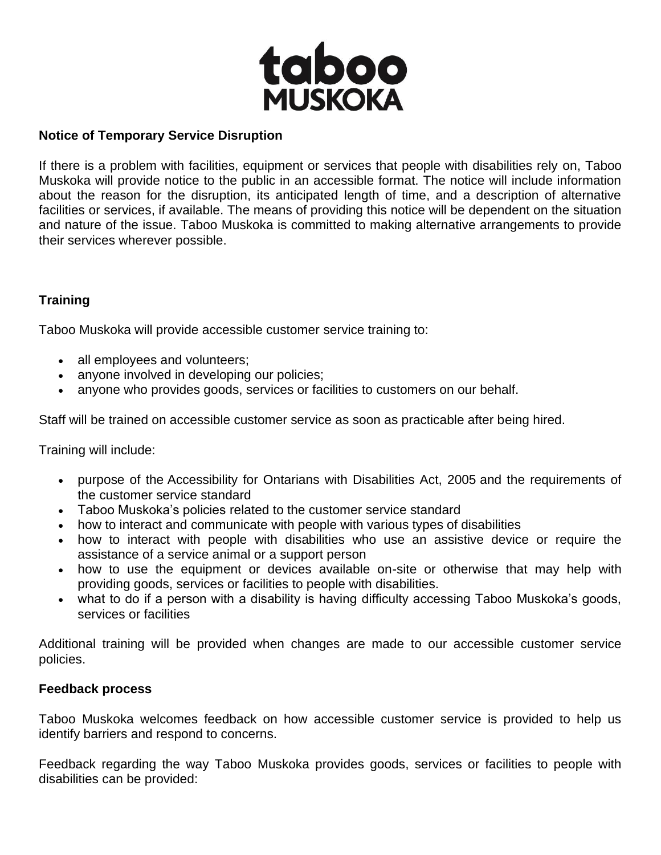

#### **Notice of Temporary Service Disruption**

If there is a problem with facilities, equipment or services that people with disabilities rely on, Taboo Muskoka will provide notice to the public in an accessible format. The notice will include information about the reason for the disruption, its anticipated length of time, and a description of alternative facilities or services, if available. The means of providing this notice will be dependent on the situation and nature of the issue. Taboo Muskoka is committed to making alternative arrangements to provide their services wherever possible.

## **Training**

Taboo Muskoka will provide accessible customer service training to:

- all employees and volunteers;
- anyone involved in developing our policies;
- anyone who provides goods, services or facilities to customers on our behalf.

Staff will be trained on accessible customer service as soon as practicable after being hired.

Training will include:

- purpose of the Accessibility for Ontarians with Disabilities Act, 2005 and the requirements of the customer service standard
- Taboo Muskoka's policies related to the customer service standard
- how to interact and communicate with people with various types of disabilities
- how to interact with people with disabilities who use an assistive device or require the assistance of a service animal or a support person
- how to use the equipment or devices available on-site or otherwise that may help with providing goods, services or facilities to people with disabilities.
- what to do if a person with a disability is having difficulty accessing Taboo Muskoka's goods, services or facilities

Additional training will be provided when changes are made to our accessible customer service policies.

#### **Feedback process**

Taboo Muskoka welcomes feedback on how accessible customer service is provided to help us identify barriers and respond to concerns.

Feedback regarding the way Taboo Muskoka provides goods, services or facilities to people with disabilities can be provided: